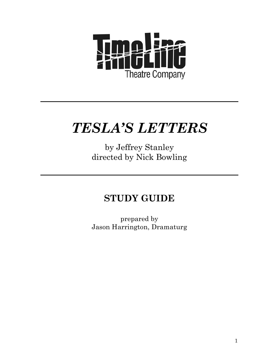

# *TESLA'S LETTERS*

by Jeffrey Stanley directed by Nick Bowling

# **STUDY GUIDE**

prepared by Jason Harrington, Dramaturg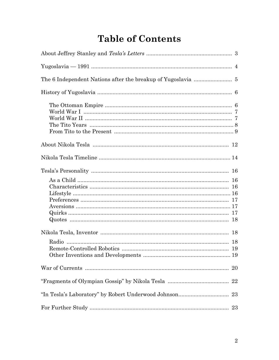# **Table of Contents**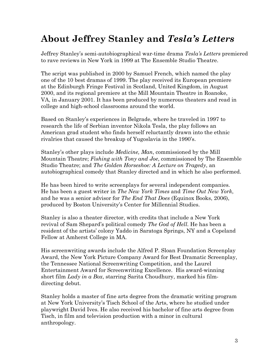# **About Jeffrey Stanley and** *Tesla's Letters*

Jeffrey Stanley's semi-autobiographical war-time drama *Tesla's Letters* premiered to rave reviews in New York in 1999 at The Ensemble Studio Theatre.

The script was published in 2000 by Samuel French, which named the play one of the 10 best dramas of 1999. The play received its European premiere at the Edinburgh Fringe Festival in Scotland, United Kingdom, in August 2000, and its regional premiere at the Mill Mountain Theatre in Roanoke, VA, in January 2001. It has been produced by numerous theaters and read in college and high-school classrooms around the world.

Based on Stanley's experiences in Belgrade, where he traveled in 1997 to research the life of Serbian inventor Nikola Tesla, the play follows an American grad student who finds herself reluctantly drawn into the ethnic rivalries that caused the breakup of Yugoslavia in the 1990's.

Stanley's other plays include *Medicine, Man*, commissioned by the Mill Mountain Theatre; *Fishing with Tony and Joe*, commissioned by The Ensemble Studio Theatre; and *The Golden Horseshoe: A Lecture on Tragedy*, an autobiographical comedy that Stanley directed and in which he also performed.

He has been hired to write screenplays for several independent companies. He has been a guest writer in *The New York Times* and *Time Out New York*, and he was a senior advisor for *The End That Does* (Equinox Books, 2006), produced by Boston University's Center for Millennial Studies.

Stanley is also a theater director, with credits that include a New York revival of Sam Shepard's political comedy *The God of Hell*. He has been a resident of the artists' colony Yaddo in Saratoga Springs, NY and a Copeland Fellow at Amherst College in MA.

His screenwriting awards include the Alfred P. Sloan Foundation Screenplay Award, the New York Picture Company Award for Best Dramatic Screenplay, the Tennessee National Screenwriting Competition, and the Laurel Entertainment Award for Screenwriting Excellence. His award-winning short film *Lady in a Box*, starring Sarita Choudhury, marked his filmdirecting debut.

Stanley holds a master of fine arts degree from the dramatic writing program at New York University's Tisch School of the Arts, where he studied under playwright David Ives. He also received his bachelor of fine arts degree from Tisch, in film and television production with a minor in cultural anthropology.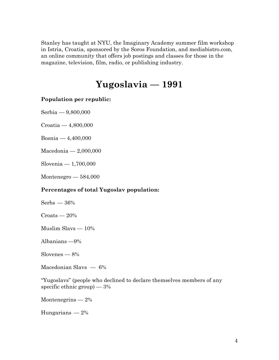Stanley has taught at NYU, the Imaginary Academy summer film workshop in Istria, Croatia, sponsored by the Soros Foundation, and mediabistro.com, an online community that offers job postings and classes for those in the magazine, television, film, radio, or publishing industry.

### **Yugoslavia — 1991**

#### **Population per republic:**

Serbia — 9,800,000

Croatia — 4,800,000

Bosnia — 4,400,000

Macedonia — 2,000,000

Slovenia — 1,700,000

Montenegro — 584,000

#### **Percentages of total Yugoslav population:**

Serbs — 36%

 $C$ roots  $-20%$ 

Muslim Slavs — 10%

Albanians —9%

Slovenes — 8%

Macedonian Slavs — 6%

"Yugoslavs" (people who declined to declare themselves members of any specific ethnic group)  $-3\%$ 

Montenegrins — 2%

Hungarians  $-2\%$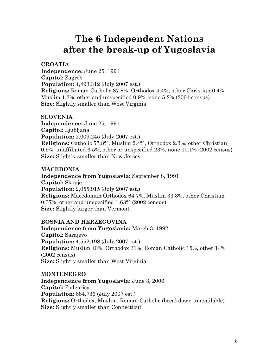# **The 6 Independent Nations after the break-up of Yugoslavia**

#### **CROATIA**

**Independence:** June 25, 1991 **Capitol:** Zagreb **Population:** 4,493,312 (July 2007 est.) **Religions:** Roman Catholic 87.8%, Orthodox 4.4%, other Christian 0.4%, Muslim 1.3%, other and unspecified 0.9%, none 5.2% (2001 census) **Size:** Slightly smaller than West Virginia

#### **SLOVENIA**

**Independence:** June 25, 1991 **Capitol:** Ljubljana **Population:** 2,009,245 (July 2007 est.) **Religions:** Catholic 57.8%, Muslim 2.4%, Orthodox 2.3%, other Christian 0.9%, unaffiliated 3.5%, other or unspecified 23%, none 10.1% (2002 census) **Size:** Slightly smaller than New Jersey

#### **MACEDONIA**

**Independence from Yugoslavia:** September 8, 1991 **Capitol:** Skopje **Population:** 2,055,915 (July 2007 est.) **Religions:** Macedonian Orthodox 64.7%, Muslim 33.3%, other Christian 0.37%, other and unspecified 1.63% (2002 census) **Size:** Slightly larger than Vermont

#### **BOSNIA AND HERZEGOVINA**

**Independence from Yugoslavia:** March 3, 1992 **Capitol:** Sarajevo **Population:** 4,552,198 (July 2007 est.) **Religions:** Muslim 40%, Orthodox 31%, Roman Catholic 15%, other 14% (2002 census) **Size:** Slightly smaller than West Virginia

**MONTENEGRO Independence from Yugoslavia**: June 3, 2006 **Capitol:** Podgorica **Population:** 684,736 (July 2007 est.) **Religions:** Orthodox, Muslim, Roman Catholic (breakdown unavailable) **Size:** Slightly smaller than Connecticut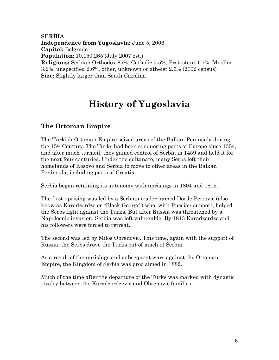**SERBIA Independence from Yugoslavia:** June 5, 2006 **Capitol:** Belgrade **Population:** 10,150,265 (July 2007 est.) **Religions:** Serbian Orthodox 85%, Catholic 5.5%, Protestant 1.1%, Muslim 3.2%, unspecified 2.6%, other, unknown or atheist 2.6% (2002 census) **Size:** Slightly larger than South Carolina

# **History of Yugoslavia**

#### **The Ottoman Empire**

The Turkish Ottoman Empire seized areas of the Balkan Peninsula during the 15th Century. The Turks had been conquering parts of Europe since 1354, and after much turmoil, they gained control of Serbia in 1459 and held it for the next four centuries. Under the sultanate, many Serbs left their homelands of Kosovo and Serbia to move to other areas in the Balkan Peninsula, including parts of Croatia.

Serbia began retaining its autonomy with uprisings in 1804 and 1815.

The first uprising was led by a Serbian trader named Dorde Petrovic (also know as Karadzordze or "Black George") who, with Russian support, helped the Serbs fight against the Turks. But after Russia was threatened by a Napoleonic invasion, Serbia was left vulnerable. By 1813 Karadzordze and his followers were forced to retreat.

The second was led by Milos Obrenovic. This time, again with the support of Russia, the Serbs drove the Turks out of much of Serbia.

As a result of the uprisings and subsequent wars against the Ottoman Empire, the Kingdom of Serbia was proclaimed in 1882.

Much of the time after the departure of the Turks was marked with dynastic rivalry between the Karadzordzevic and Obrenovic families.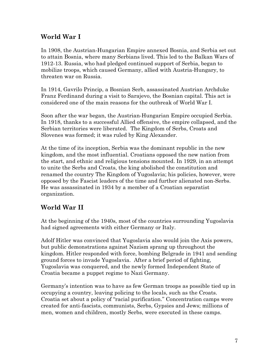### **World War I**

In 1908, the Austrian-Hungarian Empire annexed Bosnia, and Serbia set out to attain Bosnia, where many Serbians lived. This led to the Balkan Wars of 1912-13. Russia, who had pledged continued support of Serbia, began to mobilize troops, which caused Germany, allied with Austria-Hungary, to threaten war on Russia.

In 1914, Gavrilo Princip, a Bosnian Serb, assassinated Austrian Archduke Franz Ferdinand during a visit to Sarajevo, the Bosnian capital. This act is considered one of the main reasons for the outbreak of World War I.

Soon after the war began, the Austrian-Hungarian Empire occupied Serbia. In 1918, thanks to a successful Allied offensive, the empire collapsed, and the Serbian territories were liberated. The Kingdom of Serbs, Croats and Slovenes was formed; it was ruled by King Alexander.

At the time of its inception, Serbia was the dominant republic in the new kingdom, and the most influential. Croatians opposed the new nation from the start, and ethnic and religious tensions mounted. In 1929, in an attempt to unite the Serbs and Croats, the king abolished the constitution and renamed the country The Kingdom of Yugoslavia; his policies, however, were opposed by the Fascist leaders of the time and further alienated non-Serbs. He was assassinated in 1934 by a member of a Croatian separatist organization.

#### **World War II**

At the beginning of the 1940s, most of the countries surrounding Yugoslavia had signed agreements with either Germany or Italy.

Adolf Hitler was convinced that Yugoslavia also would join the Axis powers, but public demonstrations against Nazism sprang up throughout the kingdom. Hitler responded with force, bombing Belgrade in 1941 and sending ground forces to invade Yugoslavia. After a brief period of fighting, Yugoslavia was conquered, and the newly formed Independent State of Croatia became a puppet regime to Nazi Germany.

Germany's intention was to have as few German troops as possible tied up in occupying a country, leaving policing to the locals, such as the Croats. Croatia set about a policy of "racial purification." Concentration camps were created for anti-fascists, communists, Serbs, Gypsies and Jews; millions of men, women and children, mostly Serbs, were executed in these camps.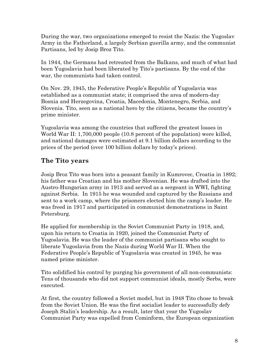During the war, two organizations emerged to resist the Nazis: the Yugoslav Army in the Fatherland, a largely Serbian guerilla army, and the communist Partisans, led by Josip Broz Tito.

In 1944, the Germans had retreated from the Balkans, and much of what had been Yugoslavia had been liberated by Tito's partisans. By the end of the war, the communists had taken control.

On Nov. 29, 1945, the Federative People's Republic of Yugoslavia was established as a communist state; it comprised the area of modern-day Bosnia and Herzegovina, Croatia, Macedonia, Montenegro, Serbia, and Slovenia. Tito, seen as a national hero by the citizens, became the country's prime minister.

Yugoslavia was among the countries that suffered the greatest losses in World War II: 1,700,000 people (10.8 percent of the population) were killed, and national damages were estimated at 9.1 billion dollars according to the prices of the period (over 100 billion dollars by today's prices).

#### **The Tito years**

Josip Broz Tito was born into a peasant family in Kumrovec, Croatia in 1892; his father was Croatian and his mother Slovenian. He was drafted into the Austro-Hungarian army in 1913 and served as a sergeant in WWI, fighting against Serbia. In 1915 he was wounded and captured by the Russians and sent to a work camp, where the prisoners elected him the camp's leader. He was freed in 1917 and participated in communist demonstrations in Saint Petersburg.

He applied for membership in the Soviet Communist Party in 1918, and, upon his return to Croatia in 1920, joined the Communist Party of Yugoslavia. He was the leader of the communist partisans who sought to liberate Yugoslavia from the Nazis during World War II. When the Federative People's Republic of Yugoslavia was created in 1945, he was named prime minister.

Tito solidified his control by purging his government of all non-communists: Tens of thousands who did not support communist ideals, mostly Serbs, were executed.

At first, the country followed a Soviet model, but in 1948 Tito chose to break from the Soviet Union. He was the first socialist leader to successfully defy Joseph Stalin's leadership. As a result, later that year the Yugoslav Communist Party was expelled from Cominform, the European organization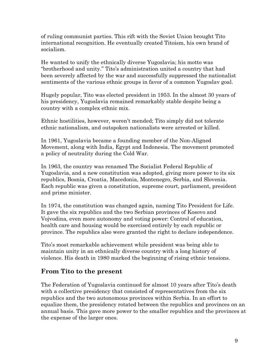of ruling communist parties. This rift with the Soviet Union brought Tito international recognition. He eventually created Titoism, his own brand of socialism.

He wanted to unify the ethnically diverse Yugoslavia; his motto was "brotherhood and unity." Tito's administration united a country that had been severely affected by the war and successfully suppressed the nationalist sentiments of the various ethnic groups in favor of a common Yugoslav goal.

Hugely popular, Tito was elected president in 1953. In the almost 30 years of his presidency, Yugoslavia remained remarkably stable despite being a country with a complex ethnic mix.

Ethnic hostilities, however, weren't mended; Tito simply did not tolerate ethnic nationalism, and outspoken nationalists were arrested or killed.

In 1961, Yugoslavia became a founding member of the Non-Aligned Movement, along with India, Egypt and Indonesia. The movement promoted a policy of neutrality during the Cold War.

In 1963, the country was renamed The Socialist Federal Republic of Yugoslavia, and a new constitution was adopted, giving more power to its six republics, Bosnia, Croatia, Macedonia, Montenegro, Serbia, and Slovenia. Each republic was given a constitution, supreme court, parliament, president and prime minister.

In 1974, the constitution was changed again, naming Tito President for Life. It gave the six republics and the two Serbian provinces of Kosovo and Vojvodina, even more autonomy and voting power: Control of education, health care and housing would be exercised entirely by each republic or province. The republics also were granted the right to declare independence.

Tito's most remarkable achievement while president was being able to maintain unity in an ethnically diverse country with a long history of violence. His death in 1980 marked the beginning of rising ethnic tensions.

#### **From Tito to the present**

The Federation of Yugoslavia continued for almost 10 years after Tito's death with a collective presidency that consisted of representatives from the six republics and the two autonomous provinces within Serbia. In an effort to equalize them, the presidency rotated between the republics and provinces on an annual basis. This gave more power to the smaller republics and the provinces at the expense of the larger ones.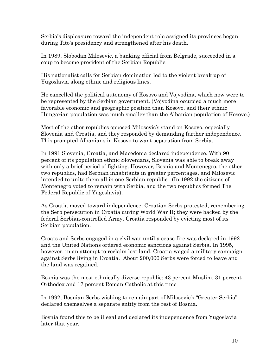Serbia's displeasure toward the independent role assigned its provinces began during Tito's presidency and strengthened after his death.

In 1989, Slobodan Milosevic, a banking official from Belgrade, succeeded in a coup to become president of the Serbian Republic.

His nationalist calls for Serbian domination led to the violent break up of Yugoslavia along ethnic and religious lines.

He cancelled the political autonomy of Kosovo and Vojvodina, which now were to be represented by the Serbian government. (Vojvodina occupied a much more favorable economic and geographic position than Kosovo, and their ethnic Hungarian population was much smaller than the Albanian population of Kosovo.)

Most of the other republics opposed Milosevic's stand on Kosovo, especially Slovenia and Croatia, and they responded by demanding further independence. This prompted Albanians in Kosovo to want separation from Serbia.

In 1991 Slovenia, Croatia, and Macedonia declared independence. With 90 percent of its population ethnic Slovenians, Slovenia was able to break away with only a brief period of fighting. However, Bosnia and Montenegro, the other two republics, had Serbian inhabitants in greater percentages, and Milosevic intended to unite them all in one Serbian republic. (In 1992 the citizens of Montenegro voted to remain with Serbia, and the two republics formed The Federal Republic of Yugoslavia).

As Croatia moved toward independence, Croatian Serbs protested, remembering the Serb persecution in Croatia during World War II; they were backed by the federal Serbian-controlled Army. Croatia responded by evicting most of its Serbian population.

Croats and Serbs engaged in a civil war until a cease-fire was declared in 1992 and the United Nations ordered economic sanctions against Serbia. In 1995, however, in an attempt to reclaim lost land, Croatia waged a military campaign against Serbs living in Croatia. About 200,000 Serbs were forced to leave and the land was regained.

Bosnia was the most ethnically diverse republic: 43 percent Muslim, 31 percent Orthodox and 17 percent Roman Catholic at this time

In 1992, Bosnian Serbs wishing to remain part of Milosevic's "Greater Serbia" declared themselves a separate entity from the rest of Bosnia.

Bosnia found this to be illegal and declared its independence from Yugoslavia later that year.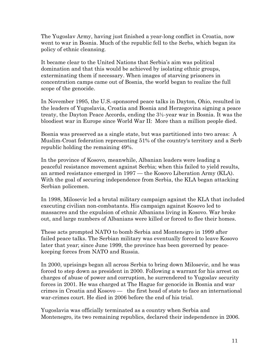The Yugoslav Army, having just finished a year-long conflict in Croatia, now went to war in Bosnia. Much of the republic fell to the Serbs, which began its policy of ethnic cleansing.

It became clear to the United Nations that Serbia's aim was political domination and that this would be achieved by isolating ethnic groups, exterminating them if necessary. When images of starving prisoners in concentration camps came out of Bosnia, the world began to realize the full scope of the genocide.

In November 1995, the U.S.-sponsored peace talks in Dayton, Ohio, resulted in the leaders of Yugoslavia, Croatia and Bosnia and Herzegovina signing a peace treaty, the Dayton Peace Accords, ending the 3½-year war in Bosnia. It was the bloodiest war in Europe since World War II: More than a million people died.

Bosnia was preserved as a single state, but was partitioned into two areas: A Muslim-Croat federation representing 51% of the country's territory and a Serb republic holding the remaining 49%.

In the province of Kosovo, meanwhile, Albanian leaders were leading a peaceful resistance movement against Serbia; when this failed to yield results, an armed resistance emerged in 1997 — the Kosovo Liberation Army (KLA). With the goal of securing independence from Serbia, the KLA began attacking Serbian policemen.

In 1998, Milosevic led a brutal military campaign against the KLA that included executing civilian non-combatants. His campaign against Kosovo led to massacres and the expulsion of ethnic Albanians living in Kosovo. War broke out, and large numbers of Albanians were killed or forced to flee their homes.

These acts prompted NATO to bomb Serbia and Montenegro in 1999 after failed peace talks. The Serbian military was eventually forced to leave Kosovo later that year; since June 1999, the province has been governed by peacekeeping forces from NATO and Russia.

In 2000, uprisings began all across Serbia to bring down Milosevic, and he was forced to step down as president in 2000. Following a warrant for his arrest on charges of abuse of power and corruption, he surrendered to Yugoslav security forces in 2001. He was charged at The Hague for genocide in Bosnia and war crimes in Croatia and Kosovo — the first head of state to face an international war-crimes court. He died in 2006 before the end of his trial.

Yugoslavia was officially terminated as a country when Serbia and Montenegro, its two remaining republics, declared their independence in 2006.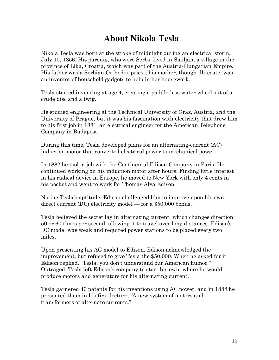### **About Nikola Tesla**

Nikola Tesla was born at the stroke of midnight during an electrical storm, July 10, 1856. His parents, who were Serbs, lived in Smiljan, a village in the province of Lika, Croatia, which was part of the Austria-Hungarian Empire. His father was a Serbian Orthodox priest; his mother, though illiterate, was an inventor of household gadgets to help in her housework.

Tesla started inventing at age 4, creating a paddle-less water wheel out of a crude disc and a twig.

He studied engineering at the Technical University of Graz, Austria, and the University of Prague, but it was his fascination with electricity that drew him to his first job in 1881: an electrical engineer for the American Telephone Company in Budapest.

During this time, Tesla developed plans for an alternating-current (AC) induction motor that converted electrical power to mechanical power.

In 1882 he took a job with the Continental Edison Company in Paris. He continued working on his induction motor after hours. Finding little interest in his radical device in Europe, he moved to New York with only 4 cents in his pocket and went to work for Thomas Alva Edison.

Noting Tesla's aptitude, Edison challenged him to improve upon his own direct current (DC) electricity model — for a \$50,000 bonus.

Tesla believed the secret lay in alternating current, which changes direction 50 or 60 times per second, allowing it to travel over long distances. Edison's DC model was weak and required power stations to be placed every two miles.

Upon presenting his AC model to Edison, Edison acknowledged the improvement, but refused to give Tesla the \$50,000. When he asked for it, Edison replied, "Tesla, you don't understand our American humor." Outraged, Tesla left Edison's company to start his own, where he would produce motors and generators for his alternating current.

Tesla garnered 40 patents for his inventions using AC power, and in 1888 he presented them in his first lecture, "A new system of motors and transformers of alternate currents."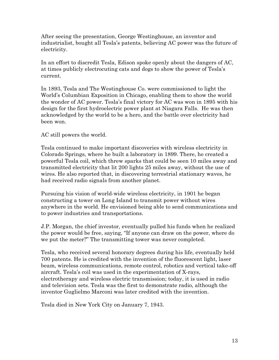After seeing the presentation, George Westinghouse, an inventor and industrialist, bought all Tesla's patents, believing AC power was the future of electricity.

In an effort to discredit Tesla, Edison spoke openly about the dangers of AC, at times publicly electrocuting cats and dogs to show the power of Tesla's current.

In 1893, Tesla and The Westinghouse Co. were commissioned to light the World's Columbian Exposition in Chicago, enabling them to show the world the wonder of AC power. Tesla's final victory for AC was won in 1895 with his design for the first hydroelectric power plant at Niagara Falls. He was then acknowledged by the world to be a hero, and the battle over electricity had been won.

AC still powers the world.

Tesla continued to make important discoveries with wireless electricity in Colorado Springs, where he built a laboratory in 1899. There, he created a powerful Tesla coil, which threw sparks that could be seen 10 miles away and transmitted electricity that lit 200 lights 25 miles away, without the use of wires. He also reported that, in discovering terrestrial stationary waves, he had received radio signals from another planet.

Pursuing his vision of world-wide wireless electricity, in 1901 he began constructing a tower on Long Island to transmit power without wires anywhere in the world. He envisioned being able to send communications and to power industries and transportations.

J.P. Morgan, the chief investor, eventually pulled his funds when he realized the power would be free, saying, "If anyone can draw on the power, where do we put the meter?" The transmitting tower was never completed.

Tesla, who received several honorary degrees during his life, eventually held 700 patents. He is credited with the invention of the fluorescent light, laser beam, wireless communications, remote control, robotics and vertical take-off aircraft. Tesla's coil was used in the experimentation of X-rays, electrotherapy and wireless electric transmission; today, it is used in radio and television sets. Tesla was the first to demonstrate radio, although the inventor Guglielmo Marconi was later credited with the invention.

Tesla died in New York City on January 7, 1943.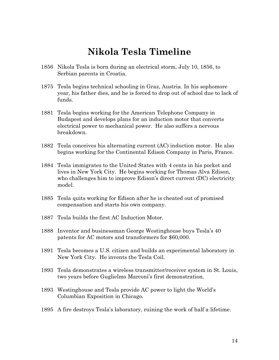### **Nikola Tesla Timeline**

- 1856 Nikola Tesla is born during an electrical storm, July 10, 1856, to Serbian parents in Croatia.
- 1875 Tesla begins technical schooling in Graz, Austria. In his sophomore year, his father dies, and he is forced to drop out of school due to lack of funds.
- 1881 Tesla begins working for the American Telephone Company in Budapest and develops plans for an induction motor that converts electrical power to mechanical power. He also suffers a nervous breakdown.
- 1882 Tesla conceives his alternating current (AC) induction motor. He also begins working for the Continental Edison Company in Paris, France.
- 1884 Tesla immigrates to the United States with 4 cents in his pocket and lives in New York City. He begins working for Thomas Alva Edison, who challenges him to improve Edison's direct current (DC) electricity model.
- 1885 Tesla quits working for Edison after he is cheated out of promised compensation and starts his own company.
- 1887 Tesla builds the first AC Induction Motor.
- 1888 Inventor and businessman George Westinghouse buys Tesla's 40 patents for AC motors and transformers for \$60,000.
- 1891 Tesla becomes a U.S. citizen and builds an experimental laboratory in New York City. He invents the Tesla Coil.
- 1893 Tesla demonstrates a wireless transmitter/receiver system in St. Louis, two years before Guglielmo Marconi's first demonstration.
- 1893 Westinghouse and Tesla provide AC power to light the World's Columbian Exposition in Chicago.
- 1895 A fire destroys Tesla's laboratory, ruining the work of half a lifetime.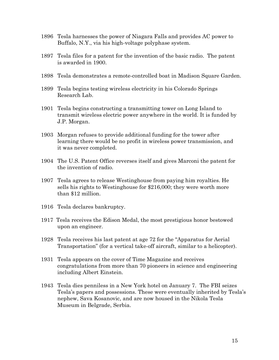- 1896 Tesla harnesses the power of Niagara Falls and provides AC power to Buffalo, N.Y., via his high-voltage polyphase system.
- 1897 Tesla files for a patent for the invention of the basic radio. The patent is awarded in 1900.
- 1898 Tesla demonstrates a remote-controlled boat in Madison Square Garden.
- 1899 Tesla begins testing wireless electricity in his Colorado Springs Research Lab.
- 1901 Tesla begins constructing a transmitting tower on Long Island to transmit wireless electric power anywhere in the world. It is funded by J.P. Morgan.
- 1903 Morgan refuses to provide additional funding for the tower after learning there would be no profit in wireless power transmission, and it was never completed.
- 1904 The U.S. Patent Office reverses itself and gives Marconi the patent for the invention of radio.
- 1907 Tesla agrees to release Westinghouse from paying him royalties. He sells his rights to Westinghouse for \$216,000; they were worth more than \$12 million.
- 1916 Tesla declares bankruptcy.
- 1917 Tesla receives the Edison Medal, the most prestigious honor bestowed upon an engineer.
- 1928 Tesla receives his last patent at age 72 for the "Apparatus for Aerial Transportation" (for a vertical take-off aircraft, similar to a helicopter).
- 1931 Tesla appears on the cover of Time Magazine and receives congratulations from more than 70 pioneers in science and engineering including Albert Einstein.
- 1943 Tesla dies penniless in a New York hotel on January 7. The FBI seizes Tesla's papers and possessions. These were eventually inherited by Tesla's nephew, Sava Kosanovic, and are now housed in the Nikola Tesla Museum in Belgrade, Serbia.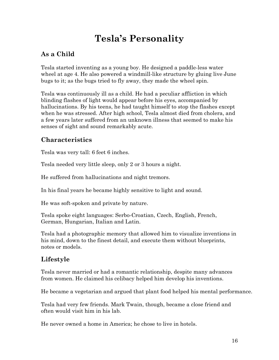# **Tesla's Personality**

### **As a Child**

Tesla started inventing as a young boy. He designed a paddle-less water wheel at age 4. He also powered a windmill-like structure by gluing live June bugs to it; as the bugs tried to fly away, they made the wheel spin.

Tesla was continuously ill as a child. He had a peculiar affliction in which blinding flashes of light would appear before his eyes, accompanied by hallucinations. By his teens, he had taught himself to stop the flashes except when he was stressed. After high school, Tesla almost died from cholera, and a few years later suffered from an unknown illness that seemed to make his senses of sight and sound remarkably acute.

#### **Characteristics**

Tesla was very tall: 6 feet 6 inches.

Tesla needed very little sleep, only 2 or 3 hours a night.

He suffered from hallucinations and night tremors.

In his final years he became highly sensitive to light and sound.

He was soft-spoken and private by nature.

Tesla spoke eight languages: Serbo-Croatian, Czech, English, French, German, Hungarian, Italian and Latin.

Tesla had a photographic memory that allowed him to visualize inventions in his mind, down to the finest detail, and execute them without blueprints, notes or models.

### **Lifestyle**

Tesla never married or had a romantic relationship, despite many advances from women. He claimed his celibacy helped him develop his inventions.

He became a vegetarian and argued that plant food helped his mental performance.

Tesla had very few friends. Mark Twain, though, became a close friend and often would visit him in his lab.

He never owned a home in America; he chose to live in hotels.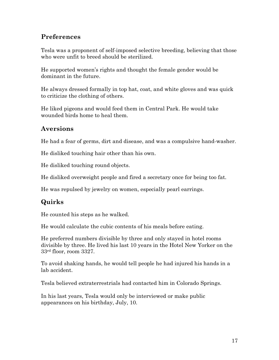### **Preferences**

Tesla was a proponent of self-imposed selective breeding, believing that those who were unfit to breed should be sterilized.

He supported women's rights and thought the female gender would be dominant in the future.

He always dressed formally in top hat, coat, and white gloves and was quick to criticize the clothing of others.

He liked pigeons and would feed them in Central Park. He would take wounded birds home to heal them.

#### **Aversions**

He had a fear of germs, dirt and disease, and was a compulsive hand-washer.

He disliked touching hair other than his own.

He disliked touching round objects.

He disliked overweight people and fired a secretary once for being too fat.

He was repulsed by jewelry on women, especially pearl earrings.

### **Quirks**

He counted his steps as he walked.

He would calculate the cubic contents of his meals before eating.

He preferred numbers divisible by three and only stayed in hotel rooms divisible by three. He lived his last 10 years in the Hotel New Yorker on the 33rd floor, room 3327.

To avoid shaking hands, he would tell people he had injured his hands in a lab accident.

Tesla believed extraterrestrials had contacted him in Colorado Springs.

In his last years, Tesla would only be interviewed or make public appearances on his birthday, July, 10.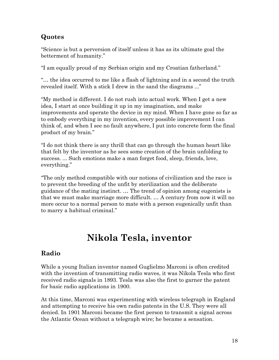### **Quotes**

"Science is but a perversion of itself unless it has as its ultimate goal the betterment of humanity."

"I am equally proud of my Serbian origin and my Croatian fatherland."

"… the idea occurred to me like a flash of lightning and in a second the truth revealed itself. With a stick I drew in the sand the diagrams ..."

"My method is different. I do not rush into actual work. When I get a new idea, I start at once building it up in my imagination, and make improvements and operate the device in my mind. When I have gone so far as to embody everything in my invention, every possible improvement I can think of, and when I see no fault anywhere, I put into concrete form the final product of my brain."

"I do not think there is any thrill that can go through the human heart like that felt by the inventor as he sees some creation of the brain unfolding to success. ... Such emotions make a man forget food, sleep, friends, love, everything."

"The only method compatible with our notions of civilization and the race is to prevent the breeding of the unfit by sterilization and the deliberate guidance of the mating instinct. … The trend of opinion among eugenists is that we must make marriage more difficult. … A century from now it will no more occur to a normal person to mate with a person eugenically unfit than to marry a habitual criminal."

# **Nikola Tesla, inventor**

### **Radio**

While a young Italian inventor named Guglielmo Marconi is often credited with the invention of transmitting radio waves, it was Nikola Tesla who first received radio signals in 1893. Tesla was also the first to garner the patent for basic radio applications in 1900.

At this time, Marconi was experimenting with wireless telegraph in England and attempting to receive his own radio patents in the U.S. They were all denied. In 1901 Marconi became the first person to transmit a signal across the Atlantic Ocean without a telegraph wire; he became a sensation.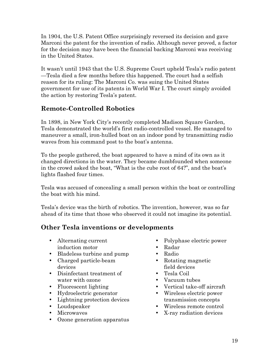In 1904, the U.S. Patent Office surprisingly reversed its decision and gave Marconi the patent for the invention of radio. Although never proved, a factor for the decision may have been the financial backing Marconi was receiving in the United States.

It wasn't until 1943 that the U.S. Supreme Court upheld Tesla's radio patent —Tesla died a few months before this happened. The court had a selfish reason for its ruling: The Marconi Co. was suing the United States government for use of its patents in World War I. The court simply avoided the action by restoring Tesla's patent.

### **Remote-Controlled Robotics**

In 1898, in New York City's recently completed Madison Square Garden, Tesla demonstrated the world's first radio-controlled vessel. He managed to maneuver a small, iron-hulled boat on an indoor pond by transmitting radio waves from his command post to the boat's antenna.

To the people gathered, the boat appeared to have a mind of its own as it changed directions in the water. They became dumbfounded when someone in the crowd asked the boat, "What is the cube root of 64?", and the boat's lights flashed four times.

Tesla was accused of concealing a small person within the boat or controlling the boat with his mind.

Tesla's device was the birth of robotics. The invention, however, was so far ahead of its time that those who observed it could not imagine its potential.

#### **Other Tesla inventions or developments**

- Alternating current induction motor
- Bladeless turbine and pump
- Charged particle-beam devices
- Disinfectant treatment of water with ozone
- Fluorescent lighting
- Hydroelectric generator
- Lightning protection devices
- Loudspeaker
- Microwaves
- Ozone generation apparatus
- Polyphase electric power
- Radar
- Radio
- Rotating magnetic field devices
- Tesla Coil
- Vacuum tubes
- Vertical take-off aircraft
- Wireless electric power transmission concepts
- Wireless remote control
- X-ray radiation devices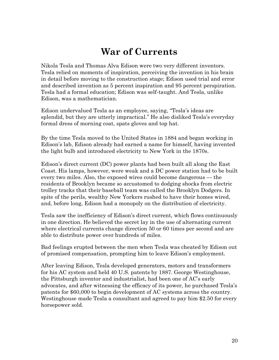# **War of Currents**

Nikola Tesla and Thomas Alva Edison were two very different inventors. Tesla relied on moments of inspiration, perceiving the invention in his brain in detail before moving to the construction stage; Edison used trial and error and described invention as 5 percent inspiration and 95 percent perspiration. Tesla had a formal education; Edison was self-taught. And Tesla, unlike Edison, was a mathematician.

Edison undervalued Tesla as an employee, saying, "Tesla's ideas are splendid, but they are utterly impractical." He also disliked Tesla's everyday formal dress of morning coat, spats gloves and top hat.

By the time Tesla moved to the United States in 1884 and began working in Edison's lab, Edison already had earned a name for himself, having invented the light bulb and introduced electricity to New York in the 1870s.

Edison's direct current (DC) power plants had been built all along the East Coast. His lamps, however, were weak and a DC power station had to be built every two miles. Also, the exposed wires could become dangerous — the residents of Brooklyn became so accustomed to dodging shocks from electric trolley tracks that their baseball team was called the Brooklyn Dodgers. In spite of the perils, wealthy New Yorkers rushed to have their homes wired, and, before long, Edison had a monopoly on the distribution of electricity.

Tesla saw the inefficiency of Edison's direct current, which flows continuously in one direction. He believed the secret lay in the use of alternating current where electrical currents change direction 50 or 60 times per second and are able to distribute power over hundreds of miles.

Bad feelings erupted between the men when Tesla was cheated by Edison out of promised compensation, prompting him to leave Edison's employment.

After leaving Edison, Tesla developed generators, motors and transformers for his AC system and held 40 U.S. patents by 1887. George Westinghouse, the Pittsburgh inventor and industrialist, had been one of AC's early advocates, and after witnessing the efficacy of its power, he purchased Tesla's patents for \$60,000 to begin development of AC systems across the country. Westinghouse made Tesla a consultant and agreed to pay him \$2.50 for every horsepower sold.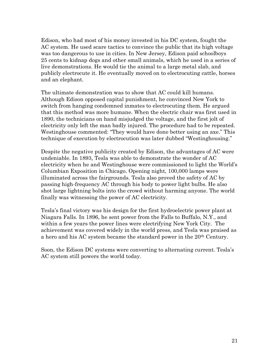Edison, who had most of his money invested in his DC system, fought the AC system. He used scare tactics to convince the public that its high voltage was too dangerous to use in cities. In New Jersey, Edison paid schoolboys 25 cents to kidnap dogs and other small animals, which he used in a series of live demonstrations. He would tie the animal to a large metal slab, and publicly electrocute it. He eventually moved on to electrocuting cattle, horses and an elephant.

The ultimate demonstration was to show that AC could kill humans. Although Edison opposed capital punishment, he convinced New York to switch from hanging condemned inmates to electrocuting them. He argued that this method was more humane. When the electric chair was first used in 1890, the technicians on hand misjudged the voltage, and the first jolt of electricity only left the man badly injured. The procedure had to be repeated. Westinghouse commented: "They would have done better using an axe." This technique of execution by electrocution was later dubbed "Westinghousing."

Despite the negative publicity created by Edison, the advantages of AC were undeniable. In 1893, Tesla was able to demonstrate the wonder of AC electricity when he and Westinghouse were commissioned to light the World's Columbian Exposition in Chicago. Opening night, 100,000 lamps were illuminated across the fairgrounds. Tesla also proved the safety of AC by passing high-frequency AC through his body to power light bulbs. He also shot large lightning bolts into the crowd without harming anyone. The world finally was witnessing the power of AC electricity.

Tesla's final victory was his design for the first hydroelectric power plant at Niagara Falls. In 1896, he sent power from the Falls to Buffalo, N.Y., and within a few years the power lines were electrifying New York City. The achievement was covered widely in the world press, and Tesla was praised as a hero and his AC system became the standard power in the 20th Century.

Soon, the Edison DC systems were converting to alternating current. Tesla's AC system still powers the world today.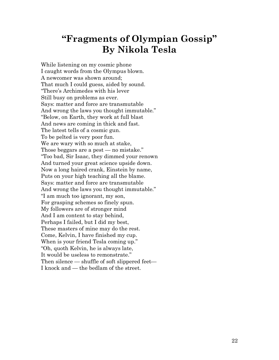# **"Fragments of Olympian Gossip" By Nikola Tesla**

While listening on my cosmic phone I caught words from the Olympus blown. A newcomer was shown around; That much I could guess, aided by sound. "There's Archimedes with his lever Still busy on problems as ever. Says: matter and force are transmutable And wrong the laws you thought immutable." "Below, on Earth, they work at full blast And news are coming in thick and fast. The latest tells of a cosmic gun. To be pelted is very poor fun. We are wary with so much at stake, Those beggars are a pest — no mistake." "Too bad, Sir Isaac, they dimmed your renown And turned your great science upside down. Now a long haired crank, Einstein by name, Puts on your high teaching all the blame. Says: matter and force are transmutable And wrong the laws you thought immutable." "I am much too ignorant, my son, For grasping schemes so finely spun. My followers are of stronger mind And I am content to stay behind, Perhaps I failed, but I did my best, These masters of mine may do the rest. Come, Kelvin, I have finished my cup. When is your friend Tesla coming up." "Oh, quoth Kelvin, he is always late, It would be useless to remonstrate." Then silence — shuffle of soft slippered feet— I knock and — the bedlam of the street.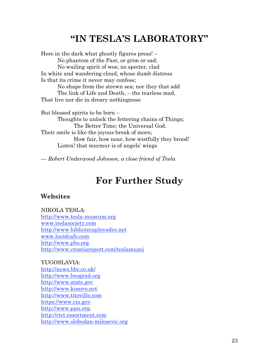### **"IN TESLA'S LABORATORY"**

Here in the dark what ghostly figures press! – No phantom of the Past, or grim or sad; No wailing spirit of woe; no specter, clad In white and wandering cloud, whose dumb distress Is that its crime it never may confess; No shape from the strewn sea; nor they that add

The link of Life and Death, – the tearless mad, That live nor die in dreary nothingness:

But blessed spirits to be born – Thoughts to unlock the fettering chains of Things; The Better Time; the Universal God. Their smile is like the joyous break of morn; How fair, how near, how wistfully they brood! Listen! that murmur is of angels' wings

— *Robert Underwood Johnson, a close friend of Tesla*

### **For Further Study**

#### **Websites**

NIKOLA TESLA: http://www.tesla-museum.org www.teslasociety.com http://www.bibliotecapleyades.net www.lucidcafe.com http://www.pbs.org http://www.croatiareport.com/teslamuzej

#### YUGOSLAVIA:

http://news.bbc.co.uk/ http://www.beograd.org http://www.state.gov http://www.kosovo.net http://www.titoville.com https://www.cia.gov http://www.ppu.org. http://ctct.essortment.com http://www.slobodan-milosevic.org